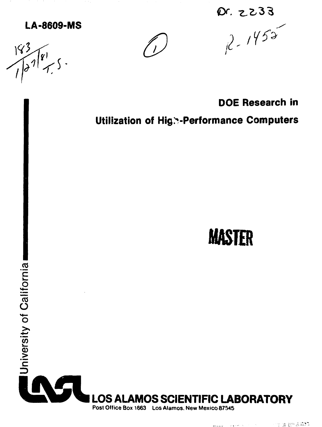# **LA-8609-MS**

 $143$  $\int_{0}^{3}\sqrt{81}$ 



 $x. z233$ <br> $x^2$ , 1452

**DOE Research in** 

**Utilization of Hig. - Performance Computers** 



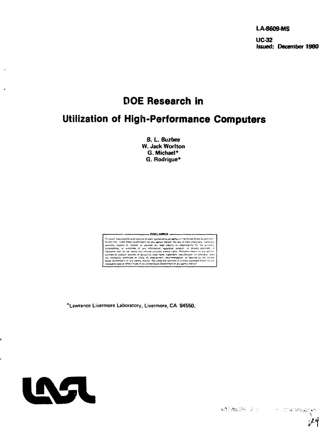**LA-8609-MS** 

**UC-32** Issued: December 1980

# **DOE Research in**

# **Utilization of High-Performance Computers**

B. L. Buzbee W. Jack Worlton G. Michael\* G. Rodrigue\*



\*Lawrence Livermore Laboratory, Livermore, CA 94550.



 $\mathcal{L}(\Sigma^{\infty})\backslash \{\mathfrak{m}(\Sigma^{\infty})\} \subseteq \mathcal{F}^{(\mathbb{C},\mathbb{C})} \subseteq \mathcal{F}^{(\mathbb{C},\mathbb{C})}\subseteq \mathcal{F}^{(\mathbb{C},\mathbb{C})}\subseteq \mathcal{F}^{(\mathbb{C},\mathbb{C})}\subseteq \mathcal{F}^{(\mathbb{C},\mathbb{C})}\subseteq \mathcal{F}^{(\mathbb{C},\mathbb{C})}\subseteq \mathcal{F}^{(\mathbb{C},\mathbb{C})}\subseteq \mathcal{F}^{(\mathbb{C},\mathbb{C})}\subseteq \mathcal{F}^{(\mathbb{C},\mathbb$ 

أنمل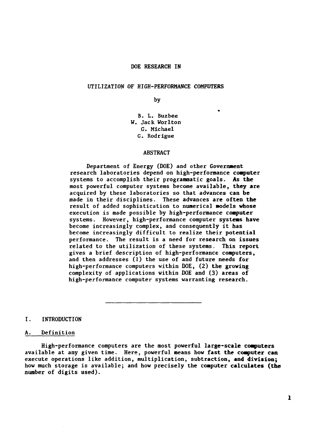#### DOE RESEARCH IN

#### UTILIZATION OF HIGH-PERFORMANCE COMPUTERS

by

\*

B. L. Buzbee W. Jack Worlton G. Michael G. Rodrigue

#### ABSTRACT

Department of Energy (DOE) and other Government research laboratories depend on high-performance computer systems to accomplish their programmatic goals. As **the** most powerful computer systems become available, **they are** acquired by these laboratories so that advances can be made in their disciplines. These advances **are often the** result of added sophistication to numerical models whose execution is made possible by high-performance **computer** systems. However, high-performance computer **systeas have** become increasingly complex, and consequently it has become increasingly difficult to realize their potential performance. The result is a need for research on issues related to the utilization of these systems. This report gives a brief description of high-performance computers, and then addresses (1) the use of and future needs for high-performance computers within DOE, (2) the growing complexity of applications within DOE and (3) areas of high-performance computer systems warranting research.

#### **I. INTRODUCTION**

#### A. Definition

High-performance computers are the most powerful **large-scale computers** available at any given time. Here, powerful means how fast **the** computer **can** execute operations like addition, multiplication, subtraction, **and division;** how much storage is available; and how precisely the computer **calculates (the** number of digits used).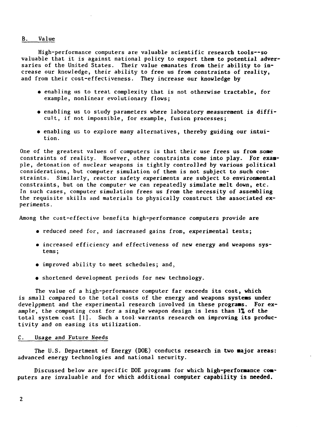## B. Value

High-performance computers are valuable scientific research tools—so valuable that it is against national policy to export them to potential adversaries of the United States. Their value emanates from their ability to increase our knowledge, their ability to free us from constraints of reality, and from their cost-effectiveness. They increase our knowledge by

- enabling us to treat complexity that is not otherwise tractable, for example, nonlinear evolutionary flows;
- enabling us to study parameters where laboratory measurement is difficult, if not impossible, for example, fusion processes;
- enabling us to explore many alternatives, thereby guiding our intuition.

One of the greatest values of computers is that their use frees us from some constraints of reality. However, other constraints come into play. For example, detonation of nuclear weapons is tightly controlled by various political considerations, but computer simulation of them is not subject to such constraints. Similarly, reactor safety experiments are subject to environmental constraints, but on the computer we can repeatedly simulate melt down, etc. In such cases, computer simulation frees us from the necessity of assembling the requisite skills and materials to physically construct the associated experiments .

Among the cost-effective benefits high-performance computers provide are

- reduced need for, and increased gains from, experimental tests;
- increased efficiency and effectiveness of new energy and weapons systems ;
- improved ability to meet schedules; and,
- shortened development periods for new technology.

The value of a high-performance computer far exceeds its cost, which is small compared to the total costs of the energy and weapons systems under development and the experimental research involved in these programs. For example, the computing cost for a single weapon design is less than  $1\%$  of the total system cost [1], Such a tool warrants research on improving its productivity and on easing its utilization.

## C. Usage and Future Needs

The U.S. Department of Energy (DOE) conducts research in two major areas: advanced energy technologies and national security.

Discussed below are specific DOE programs for which high-performance computers are invaluable and for which additional computer capability is needed.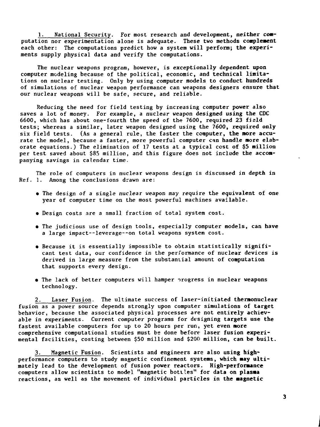1. National Security. For most research and development, neither computation nor experimentation alone is adequate. These two methods complement each other: The computations predict how a system will perform; the experiments supply physical data and verify the computations.

The nuclear weapons program, however, is exceptionally dependent upon computer modeling because of the political, economic, and technical limitations on nuclear testing. Only by using computer models to conduct hundreds of simulations of nuclear weapon performance can weapons designers ensure that our nuclear weapons will be safe, secure, and reliable.

Reducing the need for field testing by increasing computer power also saves a lot of money. For example, a nuclear weapon designed using the CDC 6600, which has about one-fourth the speed of the 7600, required 23 field tests; whereas a similar, later weapon designed using the 7600, required only six field tests. (As a general rule, the faster the computer, the more accurate the model, because a faster, more powerful computer can handle more elaborate equations.) The elimination of 17 tests at a typical cost of \$5 million per test saved about \$85 million, and this figure does not include the accompanying savings in calendar time.

The role of computers in nuclear weapons design is discussed in depth in Ref. 1. Among the conclusions drawn are:

- The design of a single nuclear weapon may require the equivalent of one year of computer time on the most powerful machines available.
- Design costs are a small fraction of total system cost.
- The judicious use of design tools, especially computer models, can have a large impact—leverage—on total weapons system cost.
- Because it is essentially impossible to obtain statistically significant test data, our confidence in the performance of nuclear devices is derived in large measure from the substantial amount of computation that supports every design.
- The lack of better computers will hamper irogress in nuclear weapons technology.

2. Laser Fusion. The ultimate success of laser-initiated thermonuclear fusion as a power source depends strongly upon computer simulations of target behavior, because the associated physical processes are not entirely achievable in experiments. Current computer programs for designing targets use the fastest available computers for up to 20 hours per run, yet even more comprehensive computational studies must bs done before laser fusion experimental facilities, costing between \$50 million and **\$20(1** million, can be built.

3. Magnetic Fusion. Scientists and engineers are also using highperformance computers to study magnetic confinement systems, which **nay** ultimately lead to the development of fusion power reactors. High**-performance** computers allow scientists to model "magnetic bottles" for data on **plasma** reactions, as well as the movement of individual particles in the **magnetic**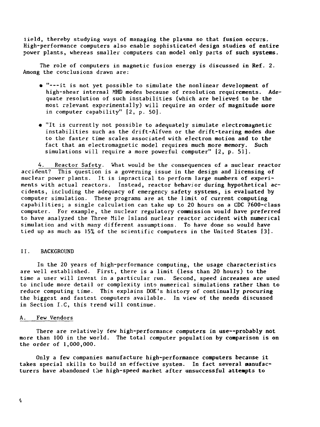iield, thereby studying ways of managing the plasma so that fusion occurs. High-performance computers also enable sophisticated design studies of entire power plants, whereas smaller computers can model only parts of such systems.

The role of computers in magnetic fusion energy is discussed in Ref. 2. Among the conclusions drawn are:

- "---it is not yet possible to simulate the nonlinear development of high-shear internal MHD modes because of resolution requirements. Adequate resolution of such instabilities (which are believed to be the most relevant experimentally) will require an order of magnitude more in computer capability" [2, p. 50].
- "It is currently not possible to adequately simulate electromagnetic instabilities such as the drift-Alfven or the drift-tearing modes due to the faster time scales associated with electron motion and to the fact that an electromagnetic model requires much more memory. Such simulations will require a more powerful computer" [2, p. 51].

4. Reactor Safety. What would be the consequences of a nuclear reactor accident? This question is a governing issue in the design and licensing of nuclear power plants. It is impractical to perform large numbers of experiments with actual reactors. Instead, reactor behavior during hypothetical accidents, including the adequacy of emergency safety systems, is evaluated by computer simulation. These programs are at the limit of current computing capabilities; a single calculation can take up to 20 hours on a CDC 7600-class computer. For example, the nuclear regulatory commission would have preferred to have analyzed the Three Mile Island nuclear reactor accident with numerical simulation and with many different assumptions. To have done so would have tied up as much as  $15%$  of the scientific computers in the United States  $[3]$ .

## II. BACKGROUND

In the 20 years of high-performance computing, the usage characteristics are well established. First, there is a limit (less than 20 hours) to the time a user will invest in a particular run. Second, speed increases are used to include more detail or complexity into numerical simulations rather than to reduce computing time. This explains DOE's history of continually procuring the biggest and fastest computers available. In view of the needs discussed in Section I.C, this trend will continue.

## A. Few Vendors

There are relatively few high-performance computers in use--probably not more than 100 in the world. The total computer population by comparison is on the order of 1,000,000.

Only a few companies manufacture high-performance computers because it takes special skills to build an effective system. In fact several manufacturers have abandoned the high-speed market after unsuccessful attempts to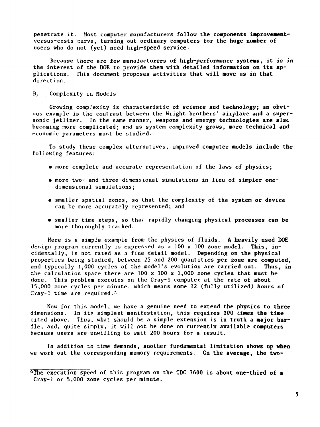penetrate it. Most computer manufacturers follow **the components improvement**versus-costs curve, turning out ordinary computers for **the huge number of** users who do not (yet) need high-speed service.

Because there are few manufacturers of high-performance **systems,** it is in the interest of the DOE to provide **them with detailed information on its** applications. This document proposes activities **that will move us in that** direction.

#### B. Complexity in Models

Growing complexity is characteristic of science and technology; **an** obvious example is the contrast between the Wright brothers' airplane **and a** supersonic jetliner. In the same manner, weapons and energy **technologies are** also becoming more complicated: and as system complexity **grows, more technical and** economic parameters must be studied.

To study these complex alternatives, improved computer models include **the** following features:

- more complete and accurate representation of the **laws** of **physics;**
- more two- and three-dimensional simulations in lieu of simpler onedimensional simulations;
- smaller spatial zones, so that the complexity of the system or device can be more accurately represented; and
- smaller time steps, so thav rapidly changing physical processes can be more thoroughly tracked.

Here is a simple example from the physics of fluids. A heavily used **DOE** design program currently is expressed as a 100 x 100 zone model. This, incidentally, is not rated as a fine detail model. Depending on the physical properties being studied, between 25 and 200 quantities per zone **are computed,** and typically 1,000 cycles of the model's evolution are carried out. **Thus,** in the calculation space there are 100 x 100 x 1,000 zone cycles **that must be** done. This problem executes on the Cray-1 computer at the rate of about 15,000 zone cycles per minute, which means some 12 (fully utilized) hours of Cray-1 time are required.\*

Now for this model, we have a genuine need to extend the physics **to three** dimensions. In its simplest manifestation, this requires 100 times the time cited above. Thus, what should be a simple extension is **in truth a major** hurdle, and, quite simply, it will not be done on currently available **computers** because users are unwilling to wait 200 hours for a result.

In addition to time demands, another fundamental limitation **shows up when** we work out the corresponding memory requirements. On the **average, the two-**

lfThe execution speed of this program on the CDC **7600** is **about one-third of a** Cray-1 or 5,000 zone cycles per minute.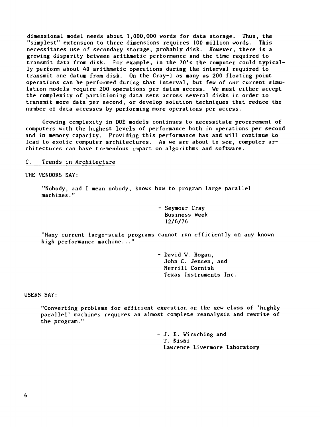dimensional model needs about 1,000,000 words for data storage. Thus, the "simplest" extension to three dimensions requires 100 million words. This necessitates use of secondary storage, probably disk. However, there is a growing disparity between arithmetic performance and the time required to transmit data from disk. For example, in the 70's the computer could typically perform about 40 arithmetic operations during the interval required to transmit one datum from disk. On the Cray-1 as many as 200 floating point operations can be performed during that interval, but few of our current simulation models require 200 operations per datum access. We must either accept the complexity of partitioning data sets across several disks in order to transmit more data per second, or develop solution techniques that reduce the number of data accesses by performing more operations per access.

Growing complexity in DOE models continues to necessitate procurement of computers with the highest levels of performance both in operations per second and in memory capacity. Providing this performance has and will continue to lead to exotic computer architectures. As we are about to see, computer architectures can have tremendous impact on algorithms and software.

C. Trends in Architecture

THE VENDORS SAY:

"Nobody, and I mean nobody, knows how to program large parallel machines."

> - Seymour Cray Business Week 12/6/76

"Many current large-scale programs cannot run efficiently on any known high performance machine..."

> - David W. Hogan, John C. Jensen, and Merrill Cornish Texas Instruments Inc.

USERS SAY:

"Converting problems for efficient execution on the new class of 'highly parallel' machines requires an almost complete reanalysis and rewrite of the program."

> - J. E. Wirsching and T. Kishi Lawrence Livermore Laboratory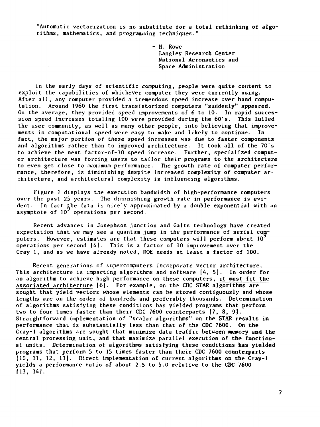"Automatic vectorization is no substitute for a total rethinking of algorithms, mathematics, and programing techniques."

> - M. Rowe Langley Research Center National Aeronautics and Space Administration

In the early days of scientific computing, people were quite content to exploit the capabilities of whichever computer they were currently using. After all, any computer provided a tremendous speed increase over hand computation. Around 1960 the first transistorized computers "suddenly" appeared. On the average, they provided speed improvements of 6 to 10. In rapid succession speed increases totaling 100 were provided during the 60's. This lulled the user community, as well as many other people, into believing that improvements in computational speed were easy to make and likely to continue. In fact, the major portion of these speed increases was due to faster components and algorithms rather than to improved architecture. It took all of the 70's to achieve the next factor-of-10 speed increase. Further, specialized computer architecture was forcing users to tailor their programs to the architecture to even get close to maximum performance. The growth rate of computer performance, therefore, is diminishing despite increased complexity of computer architecture, and architectural complexity is influencing algorithms.

**Contractor** 

Figure ] displays the execution bandwidth of high-performance computers over the past 25 years. The diminishing growth rate in performance is evident. In fact the data is nicely approximated by a double exponential with an asymptote of  $10^7$  operations per second.

Recent advances in Josephson junction and Gaits technology have created expectation that we may see a quantum jump in the performance of serial computers. However, estimates are that these computers will perform about  $10<sup>2</sup>$ operations per second [4]. This is a factor of 10 improvement over the Cray-1, and as we have already noted, DOE needs at least a factor of 100.

Recent generations of supercomputers incorporate vector architecture. This architecture is impacting algorithms and software [A, 5]. In order for an algorithm to achieve high performance on these computers, it must fit the associated architecture [6]. For example, on the CDC STAR algorithms are sought that yield vectors whose elements can be stored contiguously and whose lengths are on the order of hundreds and preferably thousands. Determination of algorithms satisfying these conditions has yielded programs that perform two to four times faster than their CDC 7600 counterparts [7, 8, 9}. Straightforward implementation of "scalar algorithms" on the STAR results in performance that is substantially less than that of the CDC 7600. On the Cray-1 algorithms are sought that minimize data traffic between memory and the central processing unit, and that maximize parallel execution of the functional units. Determination of algorithms satisfying these conditions has yielded programs that perform 5 to 15 times faster than their CDC 7600 counterparts {10, 11, 12, 13]. Direct implementation of current algorithms on the Cray-1 yields a performance ratio of about 2.5 to 5.0 relative to the CDC 7600 **[13, 14J.**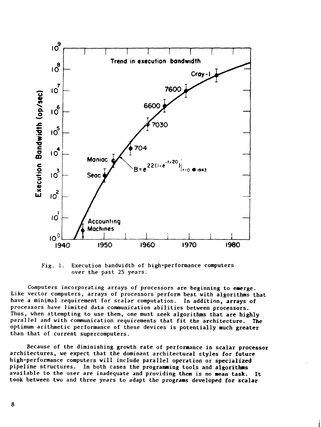

 $Fig. 1.$ Execution bandwidth of high-performance computers over the past 25 years.

Computers incorporating arrays of processors are beginning to emerge. Like vector computers, arrays of processors perform best with algorithms that have a minimal requirement for scalar computation. In addition, arrays of processors have limited data communication abilities between processors. Thus, when attempting to use them, one must seek algorithms that are highly parallel and with communication requirements that fit the architecture. **The** optimum arithmetic performance of these devices is potentially much greater than that of current supercomputers.

Because of the diminishing growth rate of performance in scalar processor architectures, we expect that the dominant architectural styles for future high-performance computers will include parallel operation or specialized pipeline structures. In both cases the programming tools and algorithms available to the user are inadequate and providing them is no mean task. It took between two and three years to adapt the programs developed for scalar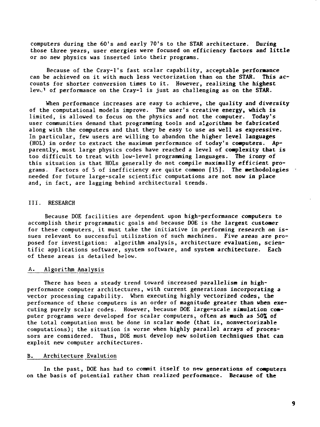computers during the 60's and early 70's to the STAR architecture. During those three years, user energies were focused on efficiency factors and little or no new physics was inserted into their programs.

Because of the Cray-l's fast scalar capability, acceptable performance can be achieved on it with much less vectorization than on the STAR. This accounts for shorter conversion times to it. However, realizing the highest lev<sub> $v<sup>1</sup>$  of performance on the Cray-1 is just as challenging as on the STAR.</sub>

When performance increases are easy to achieve, the quality and diversity of the computational models improve. The user's creative energy, which is limited, is allowed to focus on the physics and not the computer. Today's user communities demand that programming tools and algorithms be fabricated along with the computers and that they be easy to use as well as expressive. In particular, few users are willing to abandon the higher level languages (HOL) in order to extract the maximum performance of today's computers. Apparently, most large physics codes have reached a level of complexity that is too difficult to treat with low-level programming languages. The irony of this situation is that HOLs generally do not compile maximally efficient programs. Factors of 5 of inefficiency are quite common [15]. The methodologies needed for future large-scale scientific computations are not now in place and, in fact, are lagging behind architectural trends.

## III. RESEARCH

Because DOE facilities are dependent upon high-performance computers to accomplish their programmatic goals and because DOE is the largest customer for these computers, it must take the initiative in performing research on issues relevant to successful utilization of such machines. Five areas are proposed for investigation: algorithm analysis, architecture evaluation, scientific applications software, system software, and system architecture. Each of these areas is detailed below.

## A. Algorithm Analysis

There has been a steady trend toward increased parallelism in highperformance computer architectures, with current generations incorporating a vector processing capability. When executing highly vectorized codes, the performance of these computers is an order of magnitude greater than when executing purely scalar codes. However, because DOE large-scale simulation computer programs were developed for scalar computers, often as much as 50% of the total computation must be done in scalar mode (that is, nonvectorizable computations); the situation is worse when highly parallel arrays of processors are considered. Thus, DOE must develop new solution techniques that can exploit new computer architectures.

## B. Architecture Evalution

In the past, DOE has had to commit itself to new generations of computers on the basis of potential rather than realized performance. Because of the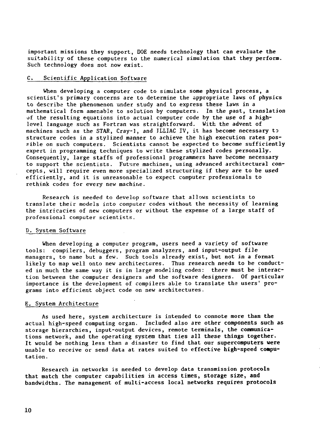important missions they support, DOE needs technology **that can evaluate the** suitability of these computers to the numerical simulation that they perform. Such technology does not now exist.

## C. Scientific Application Software

When developing a computer code to simulate some physical process, a scientist's primary concerns are to determine the appropriate laws of physics to describe the phenomenon under study and to express these laws in a mathematical form amenable to solution by computers. In the past, translation of the resulting equations into actual computer code by the use of a highlevel language such as Fortran was straightforward. With the advent of machines such as the STAR, Cray-1, and JLLIAC IV, it has become necessary to structure codes in a stylized manner to achieve the high execution rates possible on such computers. Scientists cannot be expected to become sufficiently expert in programming techniques to write these stylized codes personally. Consequently, large staffs of professional programmers have become necessary to support the scientists. Future machines, using advanced architectural concepts, will require even more specialized structuring if they are to be used efficiently, and it is unreasonable to expect computer professionals to rethink codes for every new machine.

Research is needed to develop software that allows scientists to translate their models into computer codes without the necessity of learning the intricacies of new computers or without the expense of a large staff of professional computer scientists.

#### D. System Software

When developing a computer program, users need a variety of software tools: compilers, debuggers, program analyzers, and input-output file managers, to name but a few. Such tools already exist, but not in a format likely to map well onto new architectures. Thus research needs to be conducted in much the same way it is in large modeling codes: there must be interaction between the computer designers and the software designers. Of particular importance is the development of compilers able to translate the users' programs into efficient object code on new architectures.

## E. System Architecture

As used here, system architecture is intended to connote more than the actual high-speed computing organ. Included also are other components such as storage hierarchies, input-output devices, remote terminals, the communications network, and the operating system that ties all **these things together. It** would be nothing less than a disaster to find that our **supercomputers were** unable to receive or send data at rates suited to effective **high-speed computation.**

Research in networks is needed to develop data transmission protocols that match the computer capabilities in access **times, storage size, and** bandwidths. The management of multi-access local **networks requires protocols**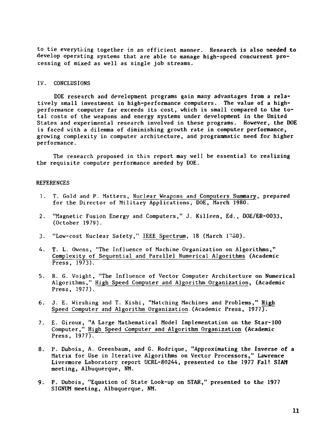to tie everything together in an efficient manner. Research is also needed to develop operating systems that are able to manage high-speed concurrent processing of mixed as well as single job streams.

# IV. CONCLUSIONS

DOE research and development programs gain many advantages from a relatively small investment in high-performance computers. The value of a highperformance computer far exceeds its cost, which is small compared to the total costs of the weapons and energy systems under development in the United States and experimental research involved in these programs. However, the DOE is faced with a dilemma of diminishing growth rate in computer performance, growing complexity in computer architecture, and programmatic need for higher performance.

The research proposed in this report may well be essential to realizing the requisite computer performance needed by DOE.

## REFERENCES

- 1. T. Gold and P. Matters, Nuclear Weapons and Computers Summary, prepared for the Director of Military Applications, DOE, March 1980.
- 2. "Magnetic Fusion Energy and Computers," J. Killeen, Ed., DOE/ER-0033, (October 1979).
- 3. "Low-cost Nuclear Safety," IEEE Spectrum, 18 (March 1980).
- 4. T. L. Owens, "The Influence of Machine Organization on Algorithms," Complexity of Sequential and Parallel Numerical Algorithms (Academic Press,  $1973$ .
- 5. R. G. Voight, "The Influence of Vector Computer Architecture on Numerical Algorithms," High Speed Computer and Algorithm Organization, (Academic Press, 1977).'
- 6. J. E. Wirshing and T. Kishi, "Matching Machines and Problems," High Speed Computer and Algorithm Organization.(Academic Press, 1977).
- 7. E. Giroux, "A Large Mathematical Model Implementation on the Star-100 Computer," High Speed Computer and Algorithm Organization (Academic Press, 1977).
- 8. P. Dubois, A. Greenbaum, and G. Rodrique, "Approximating the Inverse of a Matrix for Use in Iterative Algorithms on Vector Processors," Lawrence Livermore Laboratory report UCRL-80244, presented to the 2977 Fall SIAM meeting, Albuquerque, NM.
- 9. P. Dubois, "Equation of State Look-up on STAR," presented to the 1977 SIGNUM meeting, Albuquerque, NM.